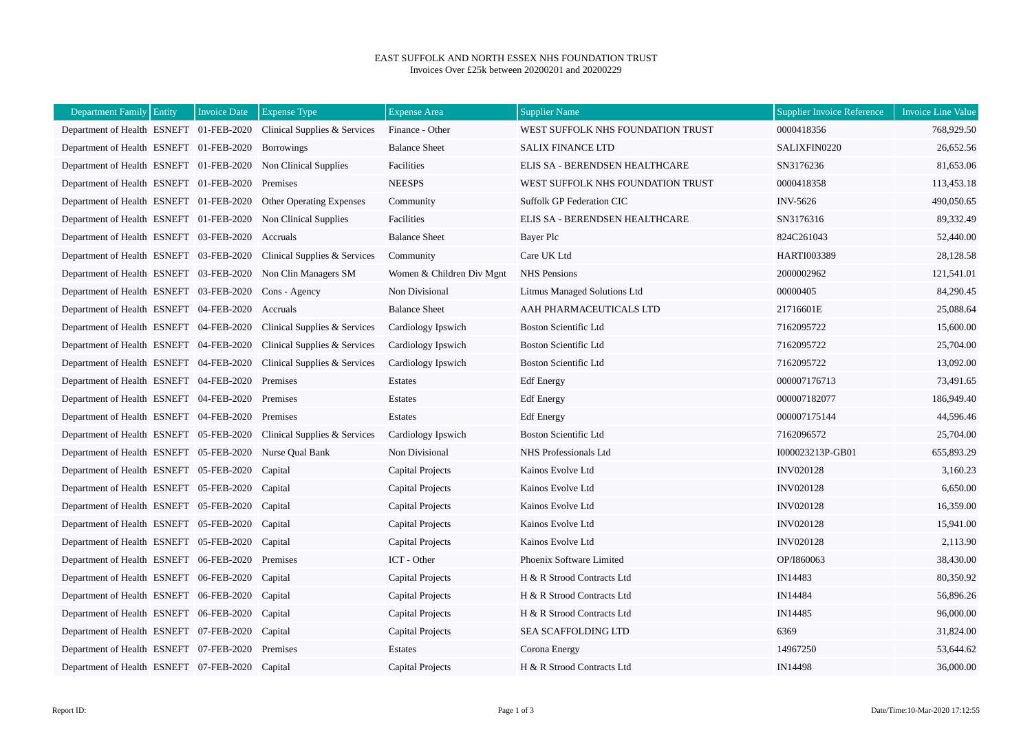## EAST SUFFOLK AND NORTH ESSEX NHS FOUNDATION TRUST Invoices Over £25k between 20200201 and 20200229

| Department Family Entity                                | <b>Invoice Date</b> | <b>Expense Type</b>                                                  | <b>Expense Area</b>       | <b>Supplier Name</b>              | <b>Supplier Invoice Reference</b> | <b>Invoice Line Value</b> |
|---------------------------------------------------------|---------------------|----------------------------------------------------------------------|---------------------------|-----------------------------------|-----------------------------------|---------------------------|
|                                                         |                     | Department of Health ESNEFT 01-FEB-2020 Clinical Supplies & Services | Finance - Other           | WEST SUFFOLK NHS FOUNDATION TRUST | 0000418356                        | 768,929.50                |
| Department of Health ESNEFT 01-FEB-2020 Borrowings      |                     |                                                                      | <b>Balance Sheet</b>      | <b>SALIX FINANCE LTD</b>          | SALIXFIN0220                      | 26,652.56                 |
|                                                         |                     | Department of Health ESNEFT 01-FEB-2020 Non Clinical Supplies        | Facilities                | ELIS SA - BERENDSEN HEALTHCARE    | SN3176236                         | 81,653.06                 |
| Department of Health ESNEFT 01-FEB-2020 Premises        |                     |                                                                      | <b>NEESPS</b>             | WEST SUFFOLK NHS FOUNDATION TRUST | 0000418358                        | 113,453.18                |
|                                                         |                     | Department of Health ESNEFT 01-FEB-2020 Other Operating Expenses     | Community                 | <b>Suffolk GP Federation CIC</b>  | <b>INV-5626</b>                   | 490,050.65                |
|                                                         |                     | Department of Health ESNEFT 01-FEB-2020 Non Clinical Supplies        | Facilities                | ELIS SA - BERENDSEN HEALTHCARE    | SN3176316                         | 89,332.49                 |
| Department of Health ESNEFT 03-FEB-2020                 |                     | Accruals                                                             | <b>Balance Sheet</b>      | Bayer Plc                         | 824C261043                        | 52,440.00                 |
|                                                         |                     | Department of Health ESNEFT 03-FEB-2020 Clinical Supplies & Services | Community                 | Care UK Ltd                       | <b>HARTI003389</b>                | 28,128.58                 |
|                                                         |                     | Department of Health ESNEFT 03-FEB-2020 Non Clin Managers SM         | Women & Children Div Mgnt | <b>NHS</b> Pensions               | 2000002962                        | 121,541.01                |
| Department of Health ESNEFT 03-FEB-2020 Cons - Agency   |                     |                                                                      | Non Divisional            | Litmus Managed Solutions Ltd      | 00000405                          | 84,290.45                 |
| Department of Health ESNEFT 04-FEB-2020                 |                     | Accruals                                                             | <b>Balance Sheet</b>      | AAH PHARMACEUTICALS LTD           | 21716601E                         | 25,088.64                 |
| Department of Health ESNEFT 04-FEB-2020                 |                     | Clinical Supplies & Services                                         | Cardiology Ipswich        | <b>Boston Scientific Ltd</b>      | 7162095722                        | 15,600.00                 |
| Department of Health ESNEFT 04-FEB-2020                 |                     | Clinical Supplies & Services                                         | Cardiology Ipswich        | <b>Boston Scientific Ltd</b>      | 7162095722                        | 25,704.00                 |
| Department of Health ESNEFT 04-FEB-2020                 |                     | Clinical Supplies & Services                                         | Cardiology Ipswich        | <b>Boston Scientific Ltd</b>      | 7162095722                        | 13,092.00                 |
| Department of Health ESNEFT 04-FEB-2020 Premises        |                     |                                                                      | Estates                   | <b>Edf</b> Energy                 | 000007176713                      | 73,491.65                 |
| Department of Health ESNEFT 04-FEB-2020                 |                     | Premises                                                             | Estates                   | <b>Edf</b> Energy                 | 000007182077                      | 186,949.40                |
| Department of Health ESNEFT 04-FEB-2020                 |                     | Premises                                                             | Estates                   | <b>Edf</b> Energy                 | 000007175144                      | 44,596.46                 |
| Department of Health ESNEFT 05-FEB-2020                 |                     | Clinical Supplies & Services                                         | Cardiology Ipswich        | <b>Boston Scientific Ltd</b>      | 7162096572                        | 25,704.00                 |
| Department of Health ESNEFT 05-FEB-2020 Nurse Qual Bank |                     |                                                                      | Non Divisional            | NHS Professionals Ltd             | I000023213P-GB01                  | 655,893.29                |
| Department of Health ESNEFT 05-FEB-2020                 |                     | Capital                                                              | Capital Projects          | Kainos Evolve Ltd                 | <b>INV020128</b>                  | 3,160.23                  |
| Department of Health ESNEFT 05-FEB-2020 Capital         |                     |                                                                      | Capital Projects          | Kainos Evolve Ltd                 | <b>INV020128</b>                  | 6,650.00                  |
| Department of Health ESNEFT 05-FEB-2020 Capital         |                     |                                                                      | Capital Projects          | Kainos Evolve Ltd                 | <b>INV020128</b>                  | 16,359.00                 |
| Department of Health ESNEFT 05-FEB-2020 Capital         |                     |                                                                      | Capital Projects          | Kainos Evolve Ltd                 | <b>INV020128</b>                  | 15,941.00                 |
| Department of Health ESNEFT 05-FEB-2020 Capital         |                     |                                                                      | Capital Projects          | Kainos Evolve Ltd                 | <b>INV020128</b>                  | 2,113.90                  |
| Department of Health ESNEFT 06-FEB-2020                 |                     | Premises                                                             | ICT - Other               | Phoenix Software Limited          | OP/I860063                        | 38,430.00                 |
| Department of Health ESNEFT 06-FEB-2020 Capital         |                     |                                                                      | <b>Capital Projects</b>   | H & R Strood Contracts Ltd        | IN14483                           | 80,350.92                 |
| Department of Health ESNEFT 06-FEB-2020 Capital         |                     |                                                                      | Capital Projects          | H & R Strood Contracts Ltd        | IN14484                           | 56,896.26                 |
| Department of Health ESNEFT 06-FEB-2020                 |                     | Capital                                                              | Capital Projects          | H & R Strood Contracts Ltd        | IN14485                           | 96,000.00                 |
| Department of Health ESNEFT 07-FEB-2020 Capital         |                     |                                                                      | Capital Projects          | SEA SCAFFOLDING LTD               | 6369                              | 31,824.00                 |
| Department of Health ESNEFT 07-FEB-2020 Premises        |                     |                                                                      | Estates                   | Corona Energy                     | 14967250                          | 53,644.62                 |
| Department of Health ESNEFT 07-FEB-2020 Capital         |                     |                                                                      | Capital Projects          | H & R Strood Contracts Ltd        | IN14498                           | 36,000.00                 |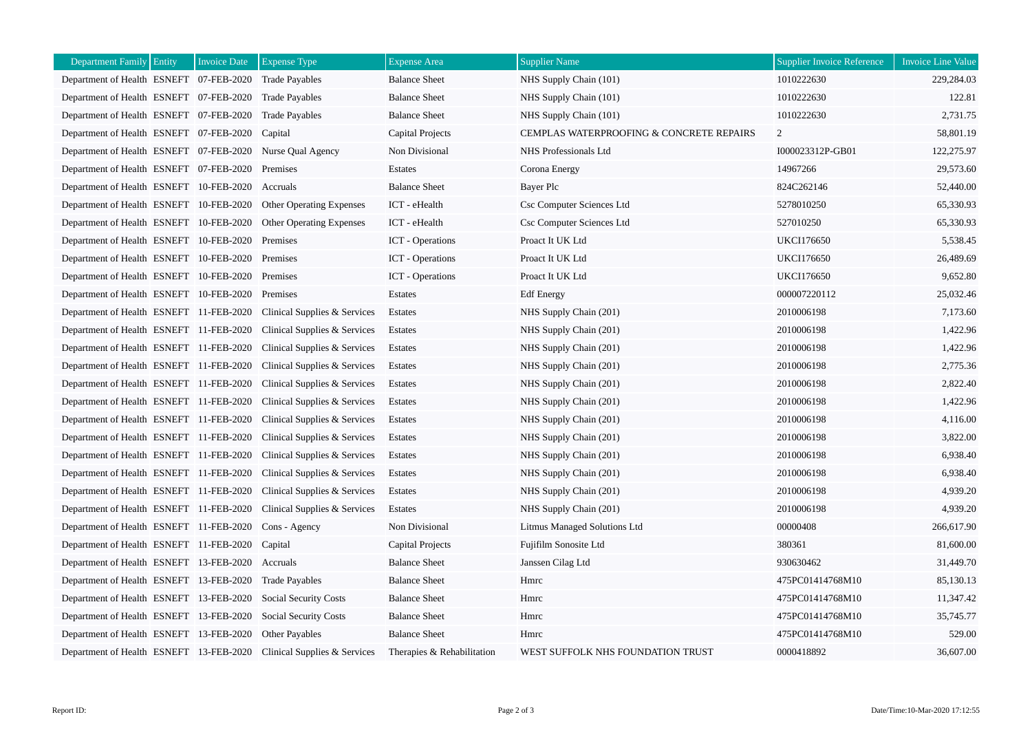| Department Family Entity                               | <b>Invoice Date</b> | <b>Expense Type</b>                                                  | <b>Expense Area</b>        | <b>Supplier Name</b>                     | <b>Supplier Invoice Reference</b> | Invoice Line Value |
|--------------------------------------------------------|---------------------|----------------------------------------------------------------------|----------------------------|------------------------------------------|-----------------------------------|--------------------|
| Department of Health ESNEFT 07-FEB-2020                |                     | <b>Trade Payables</b>                                                | <b>Balance Sheet</b>       | NHS Supply Chain (101)                   | 1010222630                        | 229,284.03         |
| Department of Health ESNEFT 07-FEB-2020 Trade Payables |                     |                                                                      | <b>Balance Sheet</b>       | NHS Supply Chain (101)                   | 1010222630                        | 122.81             |
| Department of Health ESNEFT 07-FEB-2020                |                     | <b>Trade Payables</b>                                                | <b>Balance Sheet</b>       | NHS Supply Chain (101)                   | 1010222630                        | 2,731.75           |
| Department of Health ESNEFT 07-FEB-2020                |                     | Capital                                                              | Capital Projects           | CEMPLAS WATERPROOFING & CONCRETE REPAIRS | $\overline{2}$                    | 58,801.19          |
| Department of Health ESNEFT 07-FEB-2020                |                     | Nurse Qual Agency                                                    | Non Divisional             | NHS Professionals Ltd                    | I000023312P-GB01                  | 122,275.97         |
| Department of Health ESNEFT 07-FEB-2020                |                     | Premises                                                             | Estates                    | Corona Energy                            | 14967266                          | 29,573.60          |
| Department of Health ESNEFT 10-FEB-2020 Accruals       |                     |                                                                      | <b>Balance Sheet</b>       | Bayer Plc                                | 824C262146                        | 52,440.00          |
| Department of Health ESNEFT 10-FEB-2020                |                     | Other Operating Expenses                                             | ICT - eHealth              | Csc Computer Sciences Ltd                | 5278010250                        | 65,330.93          |
| Department of Health ESNEFT 10-FEB-2020                |                     | <b>Other Operating Expenses</b>                                      | ICT - eHealth              | Csc Computer Sciences Ltd                | 527010250                         | 65,330.93          |
| Department of Health ESNEFT 10-FEB-2020                |                     | Premises                                                             | <b>ICT</b> - Operations    | Proact It UK Ltd                         | <b>UKCI176650</b>                 | 5,538.45           |
| Department of Health ESNEFT 10-FEB-2020 Premises       |                     |                                                                      | <b>ICT</b> - Operations    | Proact It UK Ltd                         | <b>UKCI176650</b>                 | 26,489.69          |
| Department of Health ESNEFT 10-FEB-2020                |                     | Premises                                                             | <b>ICT</b> - Operations    | Proact It UK Ltd                         | <b>UKCI176650</b>                 | 9,652.80           |
| Department of Health ESNEFT 10-FEB-2020                |                     | Premises                                                             | Estates                    | <b>Edf</b> Energy                        | 000007220112                      | 25,032.46          |
| Department of Health ESNEFT 11-FEB-2020                |                     | Clinical Supplies & Services                                         | Estates                    | NHS Supply Chain (201)                   | 2010006198                        | 7,173.60           |
| Department of Health ESNEFT 11-FEB-2020                |                     | Clinical Supplies & Services                                         | Estates                    | NHS Supply Chain (201)                   | 2010006198                        | 1,422.96           |
| Department of Health ESNEFT 11-FEB-2020                |                     | Clinical Supplies & Services                                         | Estates                    | NHS Supply Chain (201)                   | 2010006198                        | 1,422.96           |
| Department of Health ESNEFT 11-FEB-2020                |                     | Clinical Supplies & Services                                         | Estates                    | NHS Supply Chain (201)                   | 2010006198                        | 2,775.36           |
| Department of Health ESNEFT 11-FEB-2020                |                     | Clinical Supplies & Services                                         | Estates                    | NHS Supply Chain (201)                   | 2010006198                        | 2,822.40           |
| Department of Health ESNEFT 11-FEB-2020                |                     | Clinical Supplies & Services                                         | Estates                    | NHS Supply Chain (201)                   | 2010006198                        | 1,422.96           |
| Department of Health ESNEFT 11-FEB-2020                |                     | Clinical Supplies & Services                                         | Estates                    | NHS Supply Chain (201)                   | 2010006198                        | 4,116.00           |
| Department of Health ESNEFT 11-FEB-2020                |                     | Clinical Supplies & Services                                         | Estates                    | NHS Supply Chain (201)                   | 2010006198                        | 3,822.00           |
| Department of Health ESNEFT 11-FEB-2020                |                     | Clinical Supplies & Services                                         | Estates                    | NHS Supply Chain (201)                   | 2010006198                        | 6,938.40           |
| Department of Health ESNEFT 11-FEB-2020                |                     | Clinical Supplies & Services                                         | Estates                    | NHS Supply Chain (201)                   | 2010006198                        | 6,938.40           |
| Department of Health ESNEFT 11-FEB-2020                |                     | Clinical Supplies & Services                                         | Estates                    | NHS Supply Chain (201)                   | 2010006198                        | 4,939.20           |
| Department of Health ESNEFT 11-FEB-2020                |                     | Clinical Supplies & Services                                         | Estates                    | NHS Supply Chain (201)                   | 2010006198                        | 4,939.20           |
| Department of Health ESNEFT 11-FEB-2020                |                     | Cons - Agency                                                        | Non Divisional             | Litmus Managed Solutions Ltd             | 00000408                          | 266,617.90         |
| Department of Health ESNEFT 11-FEB-2020                |                     | Capital                                                              | Capital Projects           | Fujifilm Sonosite Ltd                    | 380361                            | 81,600.00          |
| Department of Health ESNEFT 13-FEB-2020                |                     | Accruals                                                             | <b>Balance Sheet</b>       | Janssen Cilag Ltd                        | 930630462                         | 31,449.70          |
| Department of Health ESNEFT 13-FEB-2020                |                     | <b>Trade Payables</b>                                                | <b>Balance Sheet</b>       | Hmrc                                     | 475PC01414768M10                  | 85,130.13          |
| Department of Health ESNEFT 13-FEB-2020                |                     | <b>Social Security Costs</b>                                         | <b>Balance Sheet</b>       | Hmrc                                     | 475PC01414768M10                  | 11,347.42          |
| Department of Health ESNEFT 13-FEB-2020                |                     | <b>Social Security Costs</b>                                         | <b>Balance Sheet</b>       | Hmrc                                     | 475PC01414768M10                  | 35,745.77          |
| Department of Health ESNEFT 13-FEB-2020                |                     | <b>Other Payables</b>                                                | <b>Balance Sheet</b>       | Hmrc                                     | 475PC01414768M10                  | 529.00             |
|                                                        |                     | Department of Health ESNEFT 13-FEB-2020 Clinical Supplies & Services | Therapies & Rehabilitation | WEST SUFFOLK NHS FOUNDATION TRUST        | 0000418892                        | 36,607.00          |